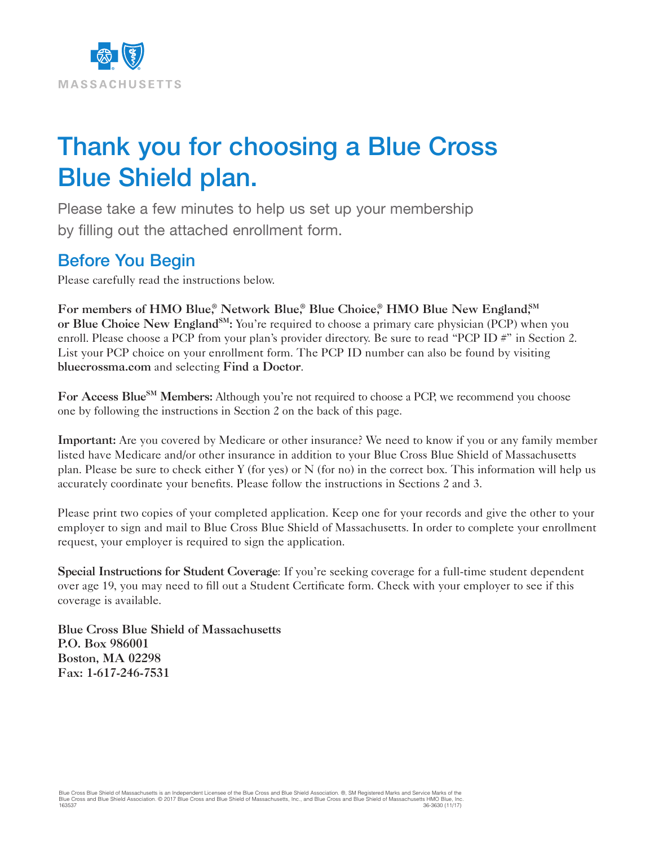

# Thank you for choosing a Blue Cross Blue Shield plan.

Please take a few minutes to help us set up your membership by filling out the attached enrollment form.

### Before You Begin

Please carefully read the instructions below.

For members of HMO Blue,<sup>®</sup> Network Blue,<sup>®</sup> Blue Choice,<sup>®</sup> HMO Blue New England,<sup>SM</sup> or Blue Choice New England<sup>SM</sup>: You're required to choose a primary care physician (PCP) when you enroll. Please choose a PCP from your plan's provider directory. Be sure to read "PCP ID #" in Section 2. List your PCP choice on your enrollment form. The PCP ID number can also be found by visiting bluecrossma.com and selecting Find a Doctor.

For Access Blue<sup>SM</sup> Members: Although you're not required to choose a PCP, we recommend you choose one by following the instructions in Section 2 on the back of this page.

Important: Are you covered by Medicare or other insurance? We need to know if you or any family member listed have Medicare and/or other insurance in addition to your Blue Cross Blue Shield of Massachusetts plan. Please be sure to check either Y (for yes) or N (for no) in the correct box. This information will help us accurately coordinate your benefits. Please follow the instructions in Sections 2 and 3.

Please print two copies of your completed application. Keep one for your records and give the other to your employer to sign and mail to Blue Cross Blue Shield of Massachusetts. In order to complete your enrollment request, your employer is required to sign the application.

Special Instructions for Student Coverage: If you're seeking coverage for a full-time student dependent over age 19, you may need to fill out a Student Certificate form. Check with your employer to see if this coverage is available.

Blue Cross Blue Shield of Massachusetts P.O. Box 986001 Boston, MA 02298 Fax: 1-617-246-7531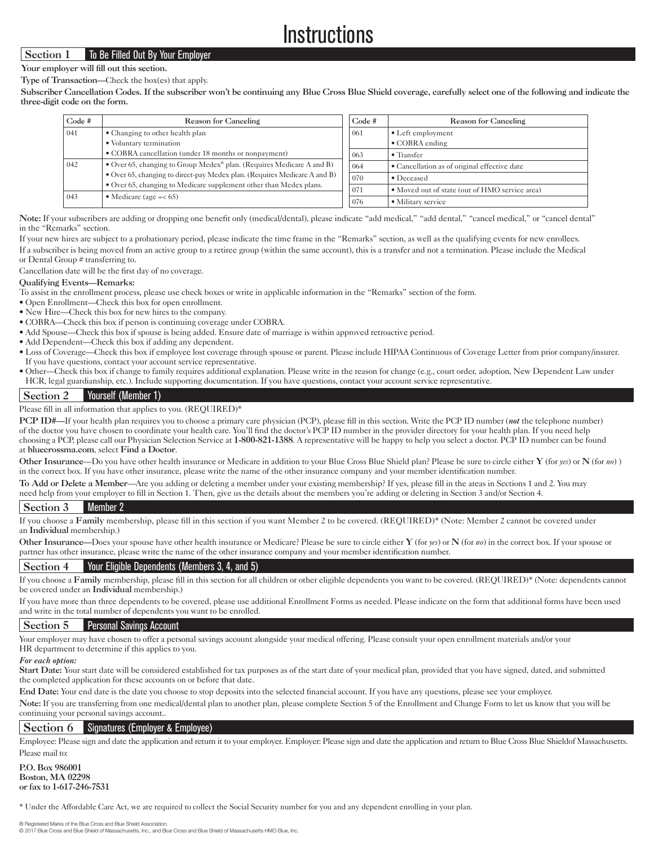## **Instructions**

#### Section 1 To Be Filled Out By Your Employer

Your employer will fill out this section.

Type of Transaction—Check the box(es) that apply.

Subscriber Cancellation Codes. If the subscriber won't be continuing any Blue Cross Blue Shield coverage, carefully select one of the following and indicate the three-digit code on the form.

| Code # | Reason for Canceling                                                                                                                                                                                                                                              | Code # | Reason for Canceling                           |  |
|--------|-------------------------------------------------------------------------------------------------------------------------------------------------------------------------------------------------------------------------------------------------------------------|--------|------------------------------------------------|--|
| 041    | • Changing to other health plan                                                                                                                                                                                                                                   |        | $\bullet$ Left employment                      |  |
|        | • Voluntary termination                                                                                                                                                                                                                                           |        | • COBRA ending                                 |  |
|        | • COBRA cancellation (under 18 months or nonpayment)                                                                                                                                                                                                              | 063    | $\bullet$ Transfer                             |  |
| 042    | • Over 65, changing to Group Medex <sup>®</sup> plan. (Requires Medicare A and B)<br>• Over 65, changing to direct-pay Medex plan. (Requires Medicare A and B)<br>• Over 65, changing to Medicare supplement other than Medex plans.<br>• Medicare (age $=< 65$ ) | 064    | • Cancellation as of original effective date   |  |
|        |                                                                                                                                                                                                                                                                   | 070    | • Deceased                                     |  |
|        |                                                                                                                                                                                                                                                                   | 071    | • Moved out of state (out of HMO service area) |  |
| 043    |                                                                                                                                                                                                                                                                   | 076    | • Military service                             |  |

Note: If your subscribers are adding or dropping one benefit only (medical/dental), please indicate "add medical," "add dental," "cancel medical," or "cancel dental" in the "Remarks" section.

If your new hires are subject to a probationary period, please indicate the time frame in the "Remarks" section, as well as the qualifying events for new enrollees.

If a subscriber is being moved from an active group to a retiree group (within the same account), this is a transfer and not a termination. Please include the Medical or Dental Group # transferring to.

Cancellation date will be the first day of no coverage.

#### Qualifying Events—Remarks:

To assist in the enrollment process, please use check boxes or write in applicable information in the "Remarks" section of the form.

- Open Enrollment—Check this box for open enrollment.
- New Hire—Check this box for new hires to the company.
- COBRA—Check this box if person is continuing coverage under COBRA.
- Add Spouse—Check this box if spouse is being added. Ensure date of marriage is within approved retroactive period.
- Add Dependent—Check this box if adding any dependent.
- Loss of Coverage—Check this box if employee lost coverage through spouse or parent. Please include HIPAA Continuous of Coverage Letter from prior company/insurer. If you have questions, contact your account service representative.
- Other—Check this box if change to family requires additional explanation. Please write in the reason for change (e.g., court order, adoption, New Dependent Law under HCR, legal guardianship, etc.). Include supporting documentation. If you have questions, contact your account service representative.

#### Section 2 Yourself (Member 1)

#### Please fill in all information that applies to you. (REQUIRED)\*

PCP ID#—If your health plan requires you to choose a primary care physician (PCP), please fill in this section. Write the PCP ID number (*not* the telephone number) of the doctor you have chosen to coordinate your health care. You'll find the doctor's PCP ID number in the provider directory for your health plan. If you need help choosing a PCP, please call our Physician Selection Service at 1-800-821-1388. A representative will be happy to help you select a doctor. PCP ID number can be found at bluecrossma.com, select Find a Doctor.

Other Insurance—Do you have other health insurance or Medicare in addition to your Blue Cross Blue Shield plan? Please be sure to circle either Y (for *yes*) or N (for *no*) ) in the correct box. If you have other insurance, please write the name of the other insurance company and your member identification number.

To Add or Delete a Member—Are you adding or deleting a member under your existing membership? If yes, please fill in the areas in Sections 1 and 2. You may

need help from your employer to fill in Section 1. Then, give us the details about the members you're adding or deleting in Section 3 and/or Section 4.

#### Section 3 Member 2

If you choose a Family membership, please fill in this section if you want Member 2 to be covered. (REQUIRED)\* (Note: Member 2 cannot be covered under an Individual membership.)

Other Insurance—Does your spouse have other health insurance or Medicare? Please be sure to circle either Y (for *yes*) or N (for *no*) in the correct box. If your spouse or partner has other insurance, please write the name of the other insurance company and your member identification number.

#### Section 4 Your Eligible Dependents (Members 3, 4, and 5)

If you choose a Family membership, please fill in this section for all children or other eligible dependents you want to be covered. (REQUIRED)\* (Note: dependents cannot be covered under an Individual membership.)

If you have more than three dependents to be covered, please use additional Enrollment Forms as needed. Please indicate on the form that additional forms have been used and write in the total number of dependents you want to be enrolled.

#### Section 5 Personal Savings Account

Your employer may have chosen to offer a personal savings account alongside your medical offering. Please consult your open enrollment materials and/or your HR department to determine if this applies to you.

#### *For each option:*

Start Date: Your start date will be considered established for tax purposes as of the start date of your medical plan, provided that you have signed, dated, and submitted the completed application for these accounts on or before that date.

End Date: Your end date is the date you choose to stop deposits into the selected financial account. If you have any questions, please see your employer.

Note: If you are transferring from one medical/dental plan to another plan, please complete Section 5 of the Enrollment and Change Form to let us know that you will be continuing your personal savings account..

#### Section 6 Signatures (Employer & Employee)

Employee: Please sign and date the application and return it to your employer. Employer: Please sign and date the application and return to Blue Cross Blue Shieldof Massachusetts. Please mail to:

P.O. Box 986001 Boston, MA 02298 or fax to 1-617-246-7531

\* Under the Affordable Care Act, we are required to collect the Social Security number for you and any dependent enrolling in your plan.